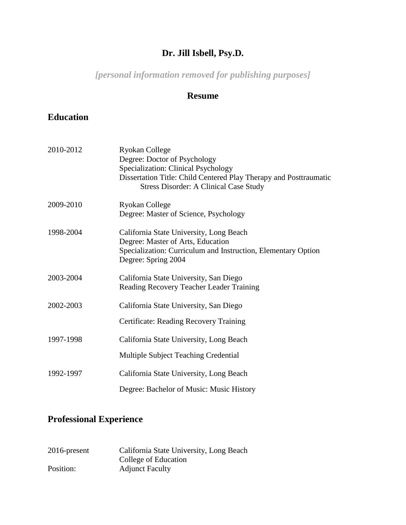## **Dr. Jill Isbell, Psy.D.**

*[personal information removed for publishing purposes]*

#### **Resume**

#### **Education**

| 2010-2012 | <b>Ryokan College</b><br>Degree: Doctor of Psychology<br>Specialization: Clinical Psychology<br>Dissertation Title: Child Centered Play Therapy and Posttraumatic<br><b>Stress Disorder: A Clinical Case Study</b> |
|-----------|--------------------------------------------------------------------------------------------------------------------------------------------------------------------------------------------------------------------|
| 2009-2010 | <b>Ryokan College</b><br>Degree: Master of Science, Psychology                                                                                                                                                     |
| 1998-2004 | California State University, Long Beach<br>Degree: Master of Arts, Education<br>Specialization: Curriculum and Instruction, Elementary Option<br>Degree: Spring 2004                                               |
| 2003-2004 | California State University, San Diego<br>Reading Recovery Teacher Leader Training                                                                                                                                 |
| 2002-2003 | California State University, San Diego<br>Certificate: Reading Recovery Training                                                                                                                                   |
| 1997-1998 | California State University, Long Beach<br>Multiple Subject Teaching Credential                                                                                                                                    |
| 1992-1997 | California State University, Long Beach<br>Degree: Bachelor of Music: Music History                                                                                                                                |

## **Professional Experience**

| $2016$ -present | California State University, Long Beach |
|-----------------|-----------------------------------------|
|                 | College of Education                    |
| Position:       | <b>Adjunct Faculty</b>                  |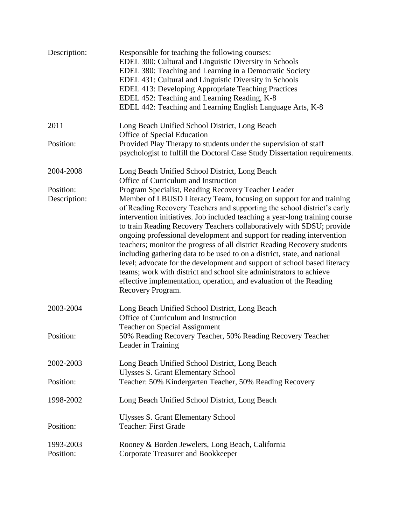| Description:              | Responsible for teaching the following courses:<br>EDEL 300: Cultural and Linguistic Diversity in Schools<br>EDEL 380: Teaching and Learning in a Democratic Society<br>EDEL 431: Cultural and Linguistic Diversity in Schools<br>EDEL 413: Developing Appropriate Teaching Practices<br>EDEL 452: Teaching and Learning Reading, K-8<br>EDEL 442: Teaching and Learning English Language Arts, K-8                                                                                                                                                                                                                                                                                                                                                                                                                                           |
|---------------------------|-----------------------------------------------------------------------------------------------------------------------------------------------------------------------------------------------------------------------------------------------------------------------------------------------------------------------------------------------------------------------------------------------------------------------------------------------------------------------------------------------------------------------------------------------------------------------------------------------------------------------------------------------------------------------------------------------------------------------------------------------------------------------------------------------------------------------------------------------|
| 2011                      | Long Beach Unified School District, Long Beach<br>Office of Special Education                                                                                                                                                                                                                                                                                                                                                                                                                                                                                                                                                                                                                                                                                                                                                                 |
| Position:                 | Provided Play Therapy to students under the supervision of staff<br>psychologist to fulfill the Doctoral Case Study Dissertation requirements.                                                                                                                                                                                                                                                                                                                                                                                                                                                                                                                                                                                                                                                                                                |
| 2004-2008                 | Long Beach Unified School District, Long Beach<br>Office of Curriculum and Instruction                                                                                                                                                                                                                                                                                                                                                                                                                                                                                                                                                                                                                                                                                                                                                        |
| Position:<br>Description: | Program Specialist, Reading Recovery Teacher Leader<br>Member of LBUSD Literacy Team, focusing on support for and training<br>of Reading Recovery Teachers and supporting the school district's early<br>intervention initiatives. Job included teaching a year-long training course<br>to train Reading Recovery Teachers collaboratively with SDSU; provide<br>ongoing professional development and support for reading intervention<br>teachers; monitor the progress of all district Reading Recovery students<br>including gathering data to be used to on a district, state, and national<br>level; advocate for the development and support of school based literacy<br>teams; work with district and school site administrators to achieve<br>effective implementation, operation, and evaluation of the Reading<br>Recovery Program. |
| 2003-2004                 | Long Beach Unified School District, Long Beach<br>Office of Curriculum and Instruction<br><b>Teacher on Special Assignment</b>                                                                                                                                                                                                                                                                                                                                                                                                                                                                                                                                                                                                                                                                                                                |
| Position:                 | 50% Reading Recovery Teacher, 50% Reading Recovery Teacher<br>Leader in Training                                                                                                                                                                                                                                                                                                                                                                                                                                                                                                                                                                                                                                                                                                                                                              |
| 2002-2003                 | Long Beach Unified School District, Long Beach<br><b>Ulysses S. Grant Elementary School</b>                                                                                                                                                                                                                                                                                                                                                                                                                                                                                                                                                                                                                                                                                                                                                   |
| Position:                 | Teacher: 50% Kindergarten Teacher, 50% Reading Recovery                                                                                                                                                                                                                                                                                                                                                                                                                                                                                                                                                                                                                                                                                                                                                                                       |
| 1998-2002                 | Long Beach Unified School District, Long Beach                                                                                                                                                                                                                                                                                                                                                                                                                                                                                                                                                                                                                                                                                                                                                                                                |
| Position:                 | <b>Ulysses S. Grant Elementary School</b><br><b>Teacher: First Grade</b>                                                                                                                                                                                                                                                                                                                                                                                                                                                                                                                                                                                                                                                                                                                                                                      |
| 1993-2003<br>Position:    | Rooney & Borden Jewelers, Long Beach, California<br><b>Corporate Treasurer and Bookkeeper</b>                                                                                                                                                                                                                                                                                                                                                                                                                                                                                                                                                                                                                                                                                                                                                 |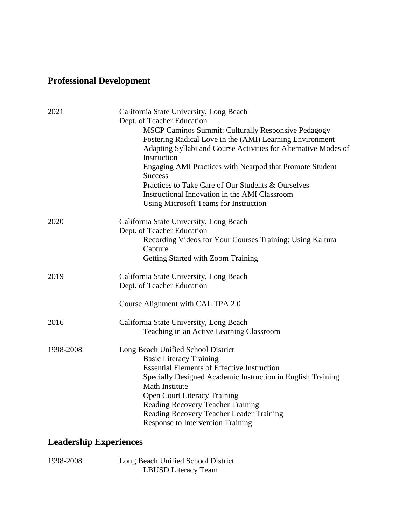# **Professional Development**

| 2021      | California State University, Long Beach                                              |
|-----------|--------------------------------------------------------------------------------------|
|           | Dept. of Teacher Education                                                           |
|           | <b>MSCP Caminos Summit: Culturally Responsive Pedagogy</b>                           |
|           | Fostering Radical Love in the (AMI) Learning Environment                             |
|           | Adapting Syllabi and Course Activities for Alternative Modes of<br>Instruction       |
|           | Engaging AMI Practices with Nearpod that Promote Student<br><b>Success</b>           |
|           | Practices to Take Care of Our Students & Ourselves                                   |
|           | Instructional Innovation in the AMI Classroom                                        |
|           | <b>Using Microsoft Teams for Instruction</b>                                         |
| 2020      | California State University, Long Beach                                              |
|           | Dept. of Teacher Education                                                           |
|           | Recording Videos for Your Courses Training: Using Kaltura                            |
|           | Capture                                                                              |
|           | Getting Started with Zoom Training                                                   |
| 2019      | California State University, Long Beach                                              |
|           | Dept. of Teacher Education                                                           |
|           | Course Alignment with CAL TPA 2.0                                                    |
| 2016      | California State University, Long Beach                                              |
|           | Teaching in an Active Learning Classroom                                             |
| 1998-2008 | Long Beach Unified School District                                                   |
|           | <b>Basic Literacy Training</b>                                                       |
|           | <b>Essential Elements of Effective Instruction</b>                                   |
|           | Specially Designed Academic Instruction in English Training<br><b>Math Institute</b> |
|           | <b>Open Court Literacy Training</b>                                                  |
|           | Reading Recovery Teacher Training                                                    |
|           | Reading Recovery Teacher Leader Training                                             |
|           | <b>Response to Intervention Training</b>                                             |
|           |                                                                                      |

# **Leadership Experiences**

1998-2008 Long Beach Unified School District LBUSD Literacy Team